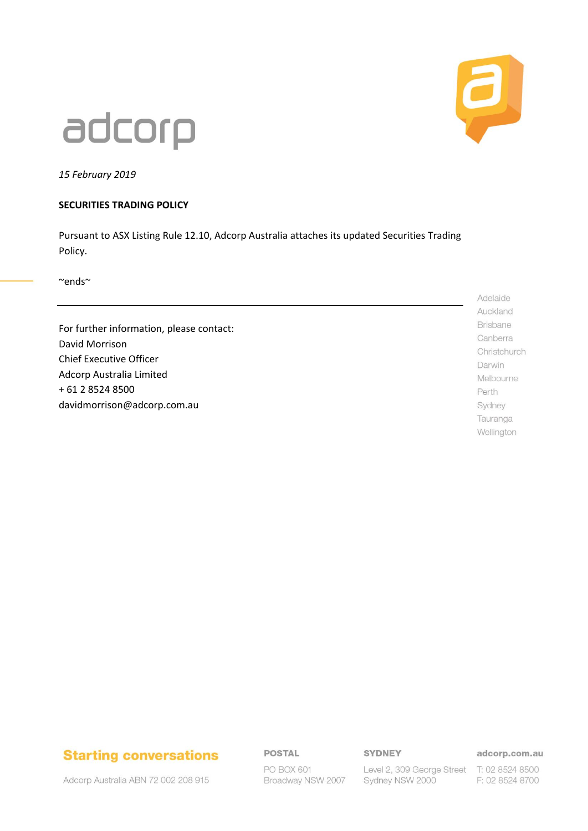

## adcorp

*15 February 2019*

#### **SECURITIES TRADING POLICY**

Pursuant to ASX Listing Rule 12.10, Adcorp Australia attaches its updated Securities Trading Policy.

~ends~

For further information, please contact: David Morrison Chief Executive Officer Adcorp Australia Limited + 61 2 8524 8500 davidmorrison@adcorp.com.au

Adelaide Auckland Brisbane Canberra Christchurch Darwin Melbourne Perth Sydney Tauranga Wellington

## **Starting conversations**

**POSTAL** 

#### **SYDNEY**

adcorp.com.au

Adcorp Australia ABN 72 002 208 915

PO BOX 601 Broadway NSW 2007

Level 2, 309 George Street T: 02 8524 8500 Sydney NSW 2000

F: 02 8524 8700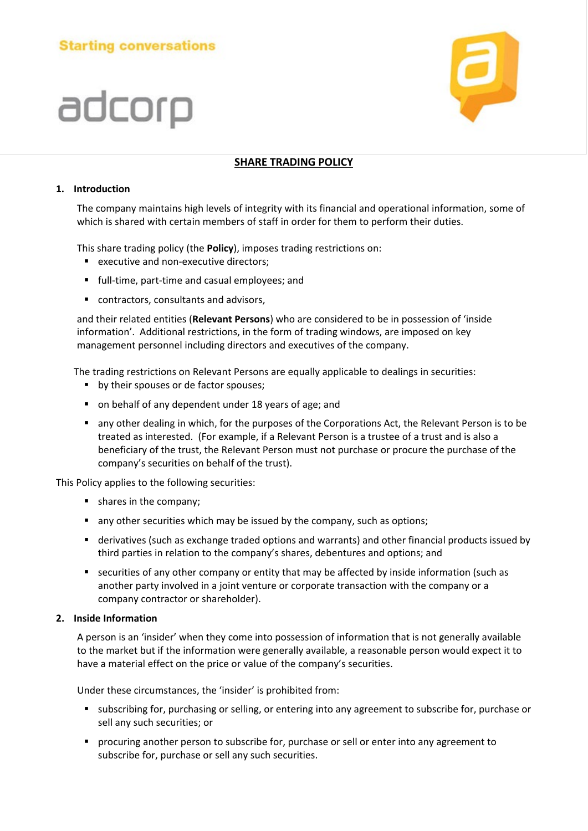## **Starting conversations**

# adcorp



#### **SHARE TRADING POLICY**

#### **1. Introduction**

The company maintains high levels of integrity with its financial and operational information, some of which is shared with certain members of staff in order for them to perform their duties.

This share trading policy (the **Policy**), imposes trading restrictions on:

- **E** executive and non-executive directors;
- **full-time, part-time and casual employees; and**
- contractors, consultants and advisors,

and their related entities (**Relevant Persons**) who are considered to be in possession of 'inside information'. Additional restrictions, in the form of trading windows, are imposed on key management personnel including directors and executives of the company.

The trading restrictions on Relevant Persons are equally applicable to dealings in securities:

- by their spouses or de factor spouses;
- on behalf of any dependent under 18 years of age; and
- any other dealing in which, for the purposes of the Corporations Act, the Relevant Person is to be treated as interested. (For example, if a Relevant Person is a trustee of a trust and is also a beneficiary of the trust, the Relevant Person must not purchase or procure the purchase of the company's securities on behalf of the trust).

This Policy applies to the following securities:

- **shares in the company;**
- any other securities which may be issued by the company, such as options;
- derivatives (such as exchange traded options and warrants) and other financial products issued by third parties in relation to the company's shares, debentures and options; and
- **Execurities of any other company or entity that may be affected by inside information (such as** another party involved in a joint venture or corporate transaction with the company or a company contractor or shareholder).

#### **2. Inside Information**

A person is an 'insider' when they come into possession of information that is not generally available to the market but if the information were generally available, a reasonable person would expect it to have a material effect on the price or value of the company's securities.

Under these circumstances, the 'insider' is prohibited from:

- subscribing for, purchasing or selling, or entering into any agreement to subscribe for, purchase or sell any such securities; or
- **P** procuring another person to subscribe for, purchase or sell or enter into any agreement to subscribe for, purchase or sell any such securities.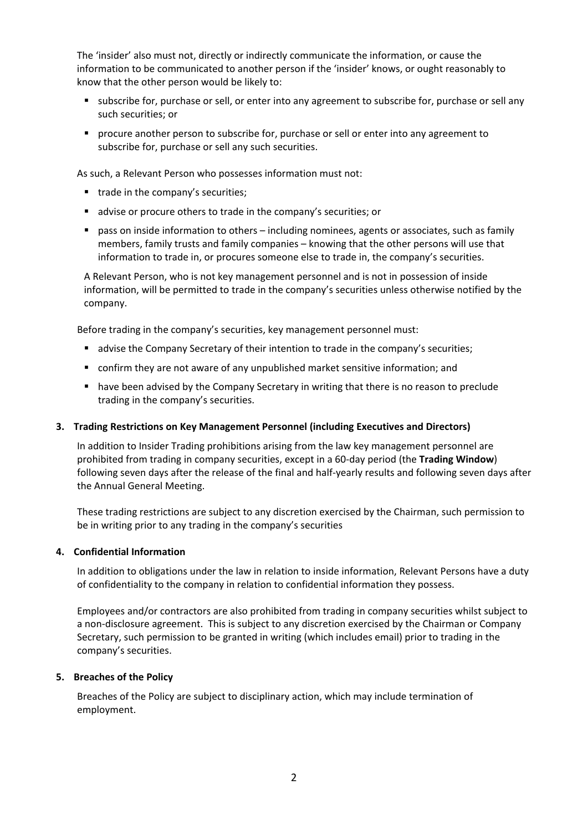The 'insider' also must not, directly or indirectly communicate the information, or cause the information to be communicated to another person if the 'insider' knows, or ought reasonably to know that the other person would be likely to:

- **subscribe for, purchase or sell, or enter into any agreement to subscribe for, purchase or sell any** such securities; or
- **Perocure another person to subscribe for, purchase or sell or enter into any agreement to** subscribe for, purchase or sell any such securities.

As such, a Relevant Person who possesses information must not:

- trade in the company's securities;
- advise or procure others to trade in the company's securities; or
- **P** pass on inside information to others including nominees, agents or associates, such as family members, family trusts and family companies – knowing that the other persons will use that information to trade in, or procures someone else to trade in, the company's securities.

A Relevant Person, who is not key management personnel and is not in possession of inside information, will be permitted to trade in the company's securities unless otherwise notified by the company.

Before trading in the company's securities, key management personnel must:

- **Example 2** advise the Company Secretary of their intention to trade in the company's securities;
- confirm they are not aware of any unpublished market sensitive information; and
- have been advised by the Company Secretary in writing that there is no reason to preclude trading in the company's securities.

#### **3. Trading Restrictions on Key Management Personnel (including Executives and Directors)**

In addition to Insider Trading prohibitions arising from the law key management personnel are prohibited from trading in company securities, except in a 60-day period (the **Trading Window**) following seven days after the release of the final and half-yearly results and following seven days after the Annual General Meeting.

These trading restrictions are subject to any discretion exercised by the Chairman, such permission to be in writing prior to any trading in the company's securities

#### **4. Confidential Information**

In addition to obligations under the law in relation to inside information, Relevant Persons have a duty of confidentiality to the company in relation to confidential information they possess.

Employees and/or contractors are also prohibited from trading in company securities whilst subject to a non-disclosure agreement. This is subject to any discretion exercised by the Chairman or Company Secretary, such permission to be granted in writing (which includes email) prior to trading in the company's securities.

#### **5. Breaches of the Policy**

Breaches of the Policy are subject to disciplinary action, which may include termination of employment.